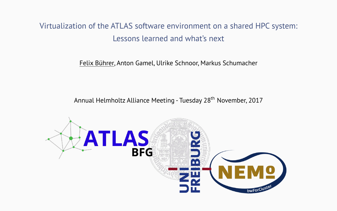# <span id="page-0-0"></span>Virtualization of the ATLAS software environment on a shared HPC system: Lessons learned and what's next

Felix Bührer, Anton Gamel, Ulrike Schnoor, Markus Schumacher

Annual Helmholtz Alliance Meeting - Tuesday 28<sup>th</sup> November, 2017

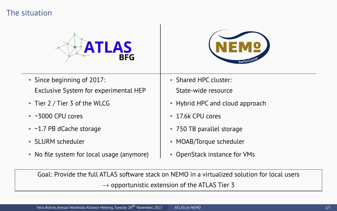### The situation





- Since beginning of 2017: Exclusive System for experimental HEP
- Tier 2 / Tier 3 of the WLCG
- $\cdot$  ~3000 CPU cores
- ~1.7 PB dCache storage
- SLURM scheduler
- No file system for local usage (anymore)
- Shared HPC cluster: State-wide resource
- Hybrid HPC and cloud approach
- 17.6k CPU cores
- 750 TB parallel storage
- MOAB/Torque scheduler
- OpenStack instance for VMs

Goal: Provide the full ATLAS software stack on NEMO in a virtualized solution for local users  $\rightarrow$  opportunistic extension of the ATLAS Tier 3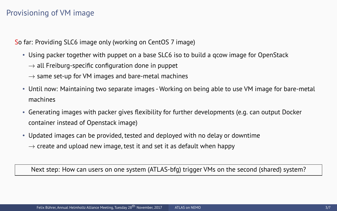### Provisioning of VM image

So far: Providing SLC6 image only (working on CentOS 7 image)

- Using packer together with puppet on a base SLC6 iso to build a qcow image for OpenStack
	- $\rightarrow$  all Freiburg-specific configuration done in puppet
	- $\rightarrow$  same set-up for VM images and bare-metal machines
- Until now: Maintaining two separate images Working on being able to use VM image for bare-metal machines
- Generating images with packer gives flexibility for further developments (e.g. can output Docker container instead of Openstack image)
- Updated images can be provided, tested and deployed with no delay or downtime  $\rightarrow$  create and upload new image, test it and set it as default when happy

Next step: How can users on one system (ATLAS-bfg) trigger VMs on the second (shared) system?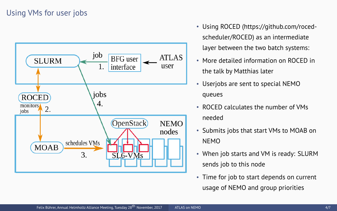## Using VMs for user jobs



- Using ROCED (https://github.com/rocedscheduler/ROCED) as an intermediate layer between the two batch systems:
- More detailed information on ROCED in the talk by Matthias later
- Userjobs are sent to special NEMO queues
- ROCED calculates the number of VMs needed
- Submits jobs that start VMs to MOAB on NEMO
- When job starts and VM is ready: SLURM sends job to this node
- Time for job to start depends on current usage of NEMO and group priorities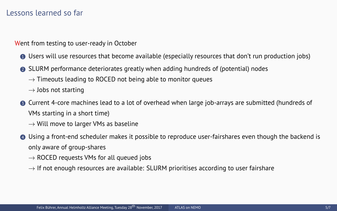#### Lessons learned so far

Went from testing to user-ready in October

- <sup>1</sup> Users will use resources that become available (especially resources that don't run production jobs)
- <sup>2</sup> SLURM performance deteriorates greatly when adding hundreds of (potential) nodes
	- $\rightarrow$  Timeouts leading to ROCED not being able to monitor queues
	- $\rightarrow$  Jobs not starting
- <sup>3</sup> Current 4-core machines lead to a lot of overhead when large job-arrays are submitted (hundreds of VMs starting in a short time)
	- $\rightarrow$  Will move to larger VMs as baseline
- <sup>4</sup> Using a front-end scheduler makes it possible to reproduce user-fairshares even though the backend is only aware of group-shares
	- $\rightarrow$  ROCED requests VMs for all queued jobs
	- $\rightarrow$  If not enough resources are available: SLURM prioritises according to user fairshare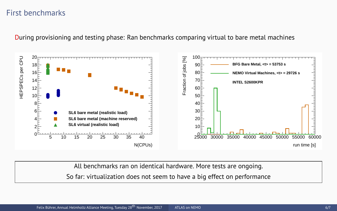### First benchmarks

During provisioning and testing phase: Ran benchmarks comparing virtual to bare metal machines



All benchmarks ran on identical hardware. More tests are ongoing.

So far: virtualization does not seem to have a big effect on performance